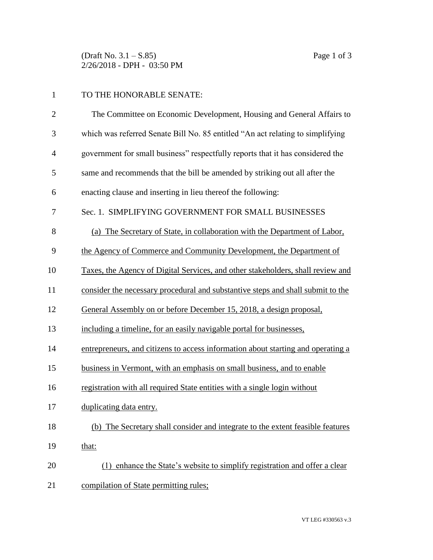(Draft No. 3.1 – S.85) Page 1 of 3 2/26/2018 - DPH - 03:50 PM

## TO THE HONORABLE SENATE:

| $\mathbf{2}$   | The Committee on Economic Development, Housing and General Affairs to            |
|----------------|----------------------------------------------------------------------------------|
| 3              | which was referred Senate Bill No. 85 entitled "An act relating to simplifying   |
| $\overline{4}$ | government for small business" respectfully reports that it has considered the   |
| 5              | same and recommends that the bill be amended by striking out all after the       |
| 6              | enacting clause and inserting in lieu thereof the following:                     |
| 7              | Sec. 1. SIMPLIFYING GOVERNMENT FOR SMALL BUSINESSES                              |
| 8              | (a) The Secretary of State, in collaboration with the Department of Labor,       |
| 9              | the Agency of Commerce and Community Development, the Department of              |
| 10             | Taxes, the Agency of Digital Services, and other stakeholders, shall review and  |
| 11             | consider the necessary procedural and substantive steps and shall submit to the  |
| 12             | General Assembly on or before December 15, 2018, a design proposal,              |
| 13             | including a timeline, for an easily navigable portal for businesses,             |
| 14             | entrepreneurs, and citizens to access information about starting and operating a |
| 15             | business in Vermont, with an emphasis on small business, and to enable           |
| 16             | registration with all required State entities with a single login without        |
| 17             | duplicating data entry.                                                          |
| 18             | (b) The Secretary shall consider and integrate to the extent feasible features   |
| 19             | that:                                                                            |
| 20             | (1) enhance the State's website to simplify registration and offer a clear       |
| 21             | compilation of State permitting rules;                                           |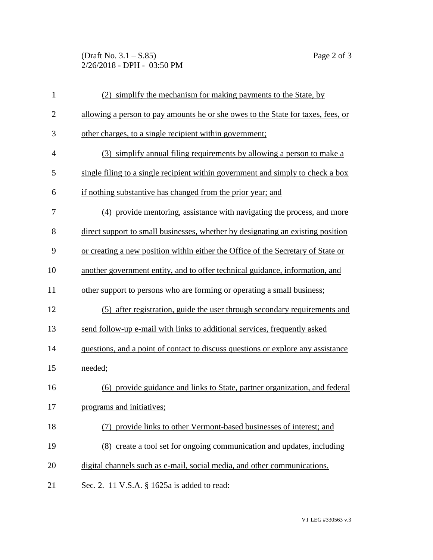(Draft No. 3.1 – S.85) Page 2 of 3 2/26/2018 - DPH - 03:50 PM

| $\mathbf{1}$   | (2) simplify the mechanism for making payments to the State, by                  |
|----------------|----------------------------------------------------------------------------------|
| $\overline{2}$ | allowing a person to pay amounts he or she owes to the State for taxes, fees, or |
| 3              | other charges, to a single recipient within government;                          |
| $\overline{4}$ | (3) simplify annual filing requirements by allowing a person to make a           |
| 5              | single filing to a single recipient within government and simply to check a box  |
| 6              | if nothing substantive has changed from the prior year; and                      |
| 7              | (4) provide mentoring, assistance with navigating the process, and more          |
| 8              | direct support to small businesses, whether by designating an existing position  |
| 9              | or creating a new position within either the Office of the Secretary of State or |
| 10             | another government entity, and to offer technical guidance, information, and     |
| 11             | other support to persons who are forming or operating a small business;          |
| 12             | (5) after registration, guide the user through secondary requirements and        |
| 13             | send follow-up e-mail with links to additional services, frequently asked        |
| 14             | questions, and a point of contact to discuss questions or explore any assistance |
| 15             | needed;                                                                          |
| 16             | (6) provide guidance and links to State, partner organization, and federal       |
| 17             | programs and initiatives;                                                        |
| 18             | (7) provide links to other Vermont-based businesses of interest; and             |
| 19             | (8) create a tool set for ongoing communication and updates, including           |
| 20             | digital channels such as e-mail, social media, and other communications.         |
| 21             | Sec. 2. 11 V.S.A. § 1625a is added to read:                                      |